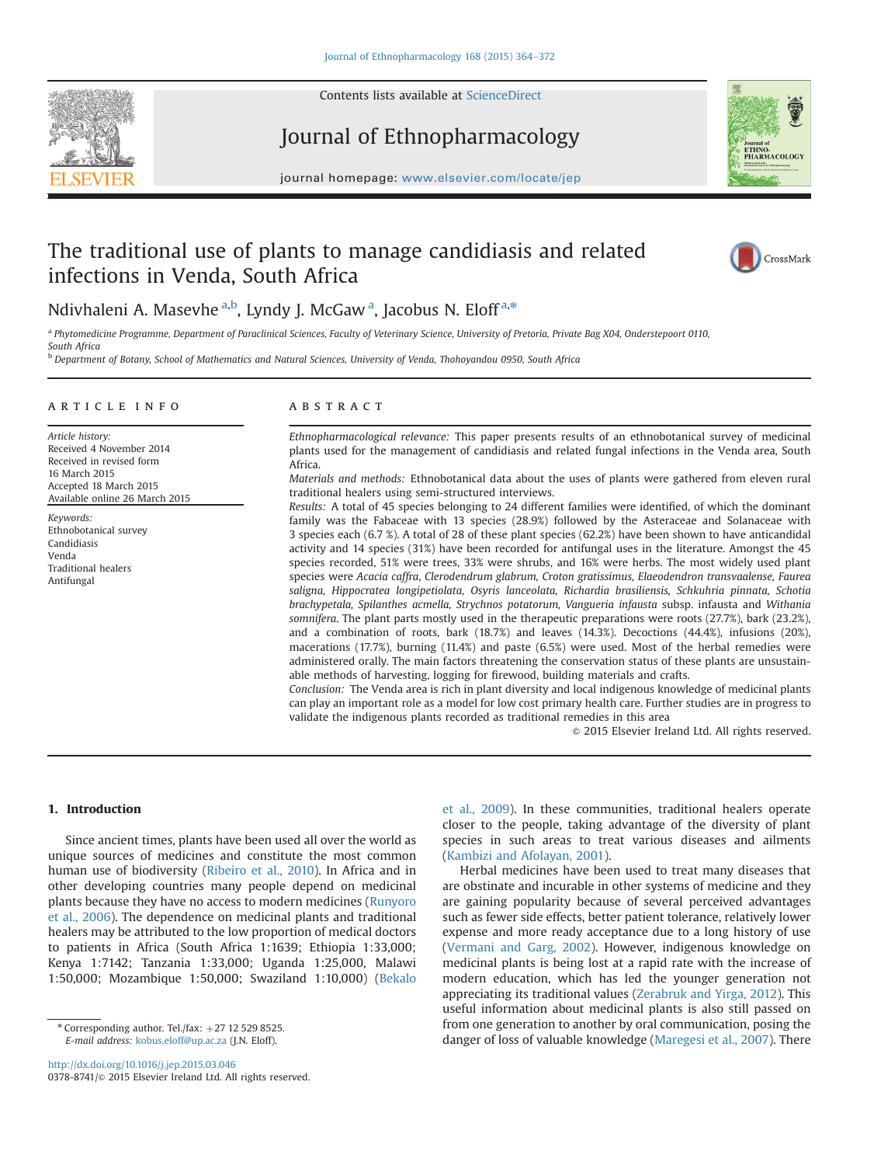

# Journal of Ethnopharmacology



journal homepage: <www.elsevier.com/locate/jep>per.com/locate/jepper.com/locate/jepper.com/locate/jepper.com/locate/jepper.com/locate/jepper.com/locate/jepper.com/locate/jepper.com/locate/jepper.com/locate/jepper.com/locate

# The traditional use of plants to manage candidiasis and related infections in Venda, South Africa



Ndivhaleni A. Masevhe <sup>a,b</sup>, Lyndy J. McGaw <sup>a</sup>, Jacobus N. Eloff <sup>a,\*</sup>

a Phytomedicine Programme, Department of Paraclinical Sciences, Faculty of Veterinary Science, University of Pretoria, Private Bag X04, Onderstepoort 0110, South Africa

<sup>b</sup> Department of Botany, School of Mathematics and Natural Sciences, University of Venda, Thohoyandou 0950, South Africa

#### article info

Article history: Received 4 November 2014 Received in revised form 16 March 2015 Accepted 18 March 2015 Available online 26 March 2015

Keywords: Ethnobotanical survey Candidiasis Venda Traditional healers Antifungal

## **ABSTRACT**

Ethnopharmacological relevance: This paper presents results of an ethnobotanical survey of medicinal plants used for the management of candidiasis and related fungal infections in the Venda area, South Africa.

Materials and methods: Ethnobotanical data about the uses of plants were gathered from eleven rural traditional healers using semi-structured interviews.

Results: A total of 45 species belonging to 24 different families were identified, of which the dominant family was the Fabaceae with 13 species (28.9%) followed by the Asteraceae and Solanaceae with 3 species each (6.7 %). A total of 28 of these plant species (62.2%) have been shown to have anticandidal activity and 14 species (31%) have been recorded for antifungal uses in the literature. Amongst the 45 species recorded, 51% were trees, 33% were shrubs, and 16% were herbs. The most widely used plant species were Acacia caffra, Clerodendrum glabrum, Croton gratissimus, Elaeodendron transvaalense, Faurea saligna, Hippocratea longipetiolata, Osyris lanceolata, Richardia brasiliensis, Schkuhria pinnata, Schotia brachypetala, Spilanthes acmella, Strychnos potatorum, Vangueria infausta subsp. infausta and Withania somnifera. The plant parts mostly used in the therapeutic preparations were roots (27.7%), bark (23.2%), and a combination of roots, bark (18.7%) and leaves (14.3%). Decoctions (44.4%), infusions (20%), macerations (17.7%), burning (11.4%) and paste (6.5%) were used. Most of the herbal remedies were administered orally. The main factors threatening the conservation status of these plants are unsustainable methods of harvesting, logging for firewood, building materials and crafts.

Conclusion: The Venda area is rich in plant diversity and local indigenous knowledge of medicinal plants can play an important role as a model for low cost primary health care. Further studies are in progress to validate the indigenous plants recorded as traditional remedies in this area

 $\odot$  2015 Elsevier Ireland Ltd. All rights reserved.

# 1. Introduction

Since ancient times, plants have been used all over the world as unique sources of medicines and constitute the most common human use of biodiversity [\(Ribeiro et al., 2010](#page-8-0)). In Africa and in other developing countries many people depend on medicinal plants because they have no access to modern medicines [\(Runyoro](#page-8-0) [et al., 2006](#page-8-0)). The dependence on medicinal plants and traditional healers may be attributed to the low proportion of medical doctors to patients in Africa (South Africa 1:1639; Ethiopia 1:33,000; Kenya 1:7142; Tanzania 1:33,000; Uganda 1:25,000, Malawi 1:50,000; Mozambique 1:50,000; Swaziland 1:10,000) ([Bekalo](#page-6-0)

 $*$  Corresponding author. Tel./fax:  $+27$  12 529 8525. E-mail address: [kobus.eloff@up.ac.za](mailto:kobus.eloff@up.ac.za) (J.N. Eloff).

<http://dx.doi.org/10.1016/j.jep.2015.03.046> 0378-8741/@ 2015 Elsevier Ireland Ltd. All rights reserved. [et al., 2009](#page-6-0)). In these communities, traditional healers operate closer to the people, taking advantage of the diversity of plant species in such areas to treat various diseases and ailments ([Kambizi and Afolayan, 2001\)](#page-7-0).

Herbal medicines have been used to treat many diseases that are obstinate and incurable in other systems of medicine and they are gaining popularity because of several perceived advantages such as fewer side effects, better patient tolerance, relatively lower expense and more ready acceptance due to a long history of use ([Vermani and Garg, 2002\)](#page-8-0). However, indigenous knowledge on medicinal plants is being lost at a rapid rate with the increase of modern education, which has led the younger generation not appreciating its traditional values [\(Zerabruk and Yirga, 2012\)](#page-8-0). This useful information about medicinal plants is also still passed on from one generation to another by oral communication, posing the danger of loss of valuable knowledge [\(Maregesi et al., 2007](#page-7-0)). There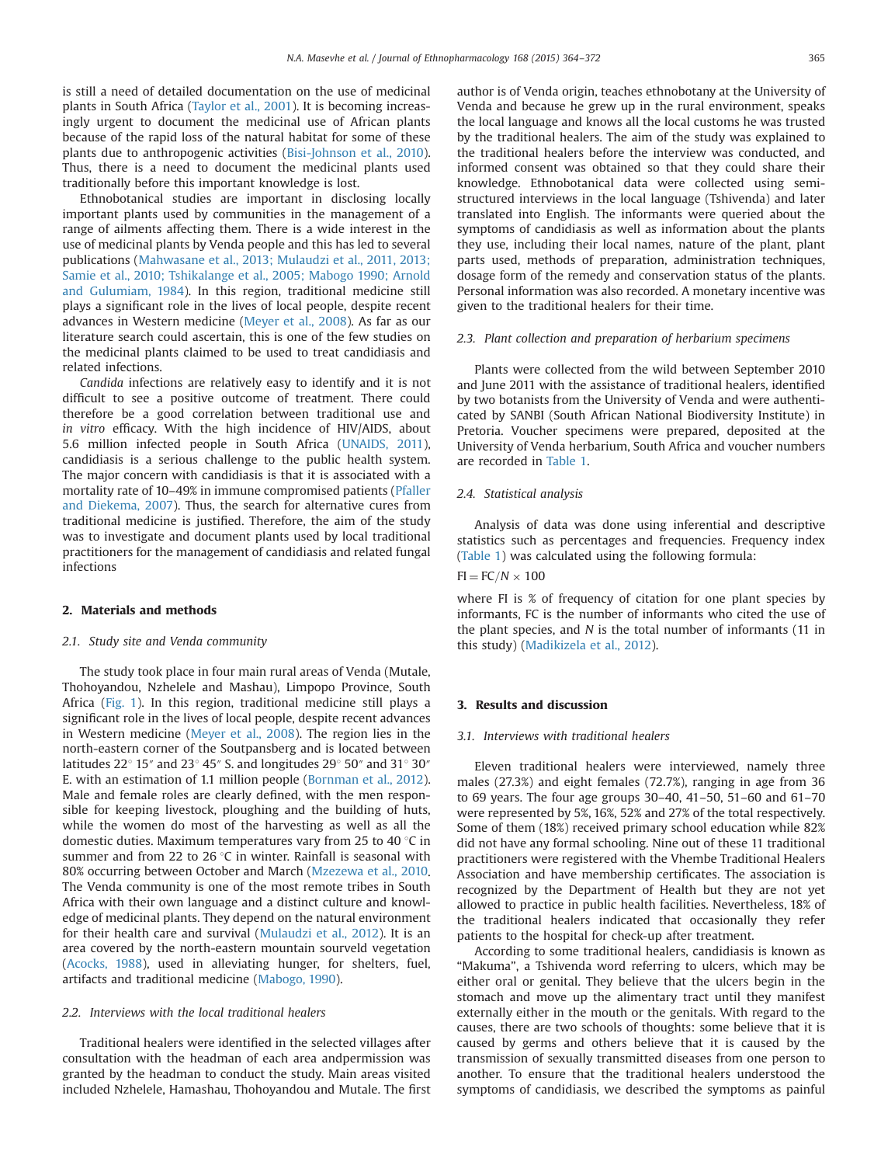is still a need of detailed documentation on the use of medicinal plants in South Africa ([Taylor et al., 2001\)](#page-8-0). It is becoming increasingly urgent to document the medicinal use of African plants because of the rapid loss of the natural habitat for some of these plants due to anthropogenic activities ([Bisi-Johnson et al., 2010\)](#page-7-0). Thus, there is a need to document the medicinal plants used traditionally before this important knowledge is lost.

Ethnobotanical studies are important in disclosing locally important plants used by communities in the management of a range of ailments affecting them. There is a wide interest in the use of medicinal plants by Venda people and this has led to several publications [\(Mahwasane et al., 2013; Mulaudzi et al., 2011, 2013;](#page-7-0) [Samie et al., 2010; Tshikalange et al., 2005; Mabogo 1990; Arnold](#page-6-0) [and Gulumiam, 1984](#page-6-0)). In this region, traditional medicine still plays a significant role in the lives of local people, despite recent advances in Western medicine [\(Meyer et al., 2008](#page-7-0)). As far as our literature search could ascertain, this is one of the few studies on the medicinal plants claimed to be used to treat candidiasis and related infections.

Candida infections are relatively easy to identify and it is not difficult to see a positive outcome of treatment. There could therefore be a good correlation between traditional use and in vitro efficacy. With the high incidence of HIV/AIDS, about 5.6 million infected people in South Africa [\(UNAIDS, 2011\)](#page-8-0), candidiasis is a serious challenge to the public health system. The major concern with candidiasis is that it is associated with a mortality rate of 10–49% in immune compromised patients [\(Pfaller](#page-8-0) [and Diekema, 2007](#page-8-0)). Thus, the search for alternative cures from traditional medicine is justified. Therefore, the aim of the study was to investigate and document plants used by local traditional practitioners for the management of candidiasis and related fungal infections

# 2. Materials and methods

#### 2.1. Study site and Venda community

The study took place in four main rural areas of Venda (Mutale, Thohoyandou, Nzhelele and Mashau), Limpopo Province, South Africa ([Fig. 1](#page-2-0)). In this region, traditional medicine still plays a significant role in the lives of local people, despite recent advances in Western medicine ([Meyer et al., 2008](#page-7-0)). The region lies in the north-eastern corner of the Soutpansberg and is located between latitudes 22 $^{\circ}$  15" and 23 $^{\circ}$  45" S. and longitudes 29 $^{\circ}$  50" and 31 $^{\circ}$  30" E. with an estimation of 1.1 million people ([Bornman et al., 2012\)](#page-7-0). Male and female roles are clearly defined, with the men responsible for keeping livestock, ploughing and the building of huts, while the women do most of the harvesting as well as all the domestic duties. Maximum temperatures vary from 25 to 40 $\degree$ C in summer and from 22 to 26  $\degree$ C in winter. Rainfall is seasonal with 80% occurring between October and March [\(Mzezewa et al., 2010.](#page-7-0) The Venda community is one of the most remote tribes in South Africa with their own language and a distinct culture and knowledge of medicinal plants. They depend on the natural environment for their health care and survival ([Mulaudzi et al., 2012](#page-7-0)). It is an area covered by the north-eastern mountain sourveld vegetation ([Acocks, 1988](#page-6-0)), used in alleviating hunger, for shelters, fuel, artifacts and traditional medicine ([Mabogo, 1990\)](#page-7-0).

#### 2.2. Interviews with the local traditional healers

Traditional healers were identified in the selected villages after consultation with the headman of each area andpermission was granted by the headman to conduct the study. Main areas visited included Nzhelele, Hamashau, Thohoyandou and Mutale. The first author is of Venda origin, teaches ethnobotany at the University of Venda and because he grew up in the rural environment, speaks the local language and knows all the local customs he was trusted by the traditional healers. The aim of the study was explained to the traditional healers before the interview was conducted, and informed consent was obtained so that they could share their knowledge. Ethnobotanical data were collected using semistructured interviews in the local language (Tshivenda) and later translated into English. The informants were queried about the symptoms of candidiasis as well as information about the plants they use, including their local names, nature of the plant, plant parts used, methods of preparation, administration techniques, dosage form of the remedy and conservation status of the plants. Personal information was also recorded. A monetary incentive was given to the traditional healers for their time.

# 2.3. Plant collection and preparation of herbarium specimens

Plants were collected from the wild between September 2010 and June 2011 with the assistance of traditional healers, identified by two botanists from the University of Venda and were authenticated by SANBI (South African National Biodiversity Institute) in Pretoria. Voucher specimens were prepared, deposited at the University of Venda herbarium, South Africa and voucher numbers are recorded in [Table 1](#page-3-0).

# 2.4. Statistical analysis

Analysis of data was done using inferential and descriptive statistics such as percentages and frequencies. Frequency index ([Table 1\)](#page-3-0) was calculated using the following formula:

# $FI = FC/N \times 100$

where FI is % of frequency of citation for one plant species by informants, FC is the number of informants who cited the use of the plant species, and  $N$  is the total number of informants  $(11$  in this study) [\(Madikizela et al., 2012](#page-7-0)).

# 3. Results and discussion

#### 3.1. Interviews with traditional healers

Eleven traditional healers were interviewed, namely three males (27.3%) and eight females (72.7%), ranging in age from 36 to 69 years. The four age groups 30–40, 41–50, 51–60 and 61–70 were represented by 5%, 16%, 52% and 27% of the total respectively. Some of them (18%) received primary school education while 82% did not have any formal schooling. Nine out of these 11 traditional practitioners were registered with the Vhembe Traditional Healers Association and have membership certificates. The association is recognized by the Department of Health but they are not yet allowed to practice in public health facilities. Nevertheless, 18% of the traditional healers indicated that occasionally they refer patients to the hospital for check-up after treatment.

According to some traditional healers, candidiasis is known as "Makuma", a Tshivenda word referring to ulcers, which may be either oral or genital. They believe that the ulcers begin in the stomach and move up the alimentary tract until they manifest externally either in the mouth or the genitals. With regard to the causes, there are two schools of thoughts: some believe that it is caused by germs and others believe that it is caused by the transmission of sexually transmitted diseases from one person to another. To ensure that the traditional healers understood the symptoms of candidiasis, we described the symptoms as painful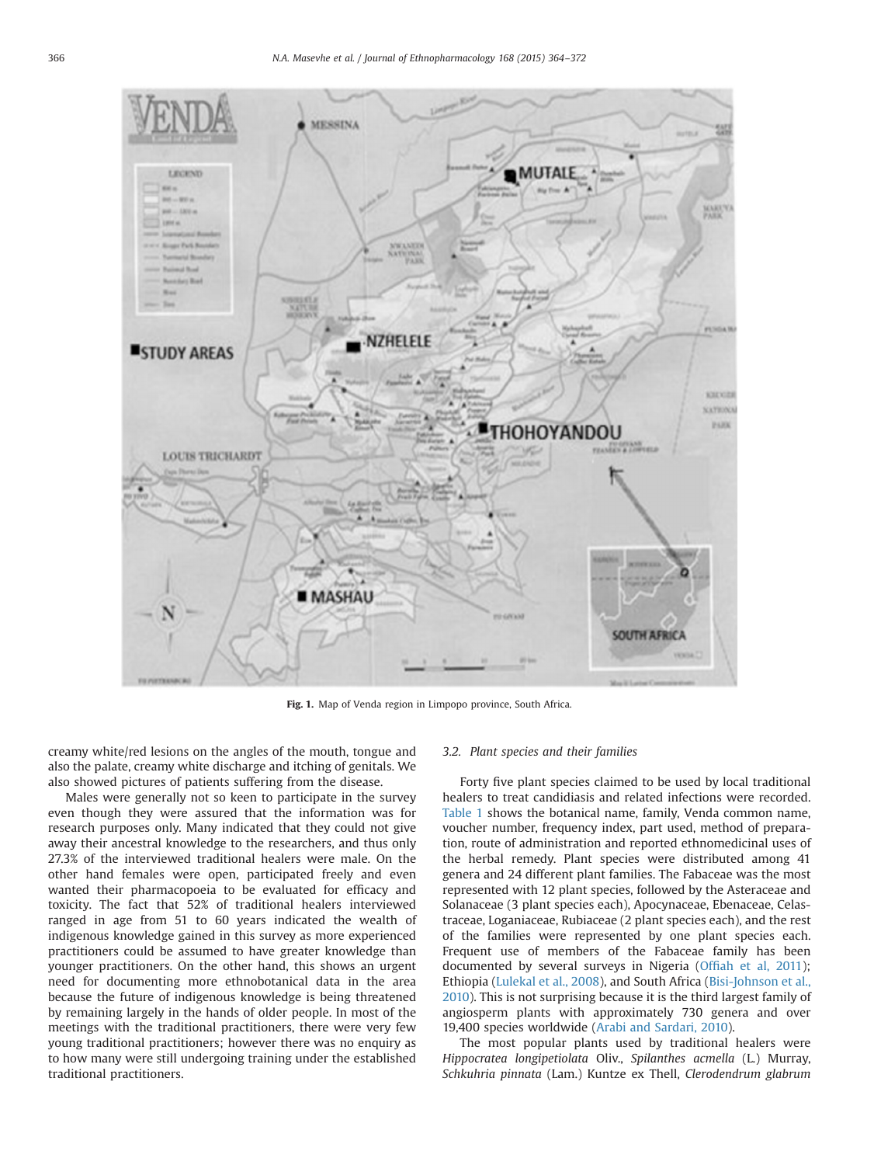<span id="page-2-0"></span>

Fig. 1. Map of Venda region in Limpopo province, South Africa.

creamy white/red lesions on the angles of the mouth, tongue and also the palate, creamy white discharge and itching of genitals. We also showed pictures of patients suffering from the disease.

Males were generally not so keen to participate in the survey even though they were assured that the information was for research purposes only. Many indicated that they could not give away their ancestral knowledge to the researchers, and thus only 27.3% of the interviewed traditional healers were male. On the other hand females were open, participated freely and even wanted their pharmacopoeia to be evaluated for efficacy and toxicity. The fact that 52% of traditional healers interviewed ranged in age from 51 to 60 years indicated the wealth of indigenous knowledge gained in this survey as more experienced practitioners could be assumed to have greater knowledge than younger practitioners. On the other hand, this shows an urgent need for documenting more ethnobotanical data in the area because the future of indigenous knowledge is being threatened by remaining largely in the hands of older people. In most of the meetings with the traditional practitioners, there were very few young traditional practitioners; however there was no enquiry as to how many were still undergoing training under the established traditional practitioners.

# 3.2. Plant species and their families

Forty five plant species claimed to be used by local traditional healers to treat candidiasis and related infections were recorded. [Table 1](#page-3-0) shows the botanical name, family, Venda common name, voucher number, frequency index, part used, method of preparation, route of administration and reported ethnomedicinal uses of the herbal remedy. Plant species were distributed among 41 genera and 24 different plant families. The Fabaceae was the most represented with 12 plant species, followed by the Asteraceae and Solanaceae (3 plant species each), Apocynaceae, Ebenaceae, Celastraceae, Loganiaceae, Rubiaceae (2 plant species each), and the rest of the families were represented by one plant species each. Frequent use of members of the Fabaceae family has been documented by several surveys in Nigeria (Offi[ah et al, 2011\)](#page-7-0); Ethiopia [\(Lulekal et al., 2008\)](#page-7-0), and South Africa [\(Bisi-Johnson et al.,](#page-7-0) [2010\)](#page-7-0). This is not surprising because it is the third largest family of angiosperm plants with approximately 730 genera and over 19,400 species worldwide ([Arabi and Sardari, 2010](#page-6-0)).

The most popular plants used by traditional healers were Hippocratea longipetiolata Oliv., Spilanthes acmella (L.) Murray, Schkuhria pinnata (Lam.) Kuntze ex Thell, Clerodendrum glabrum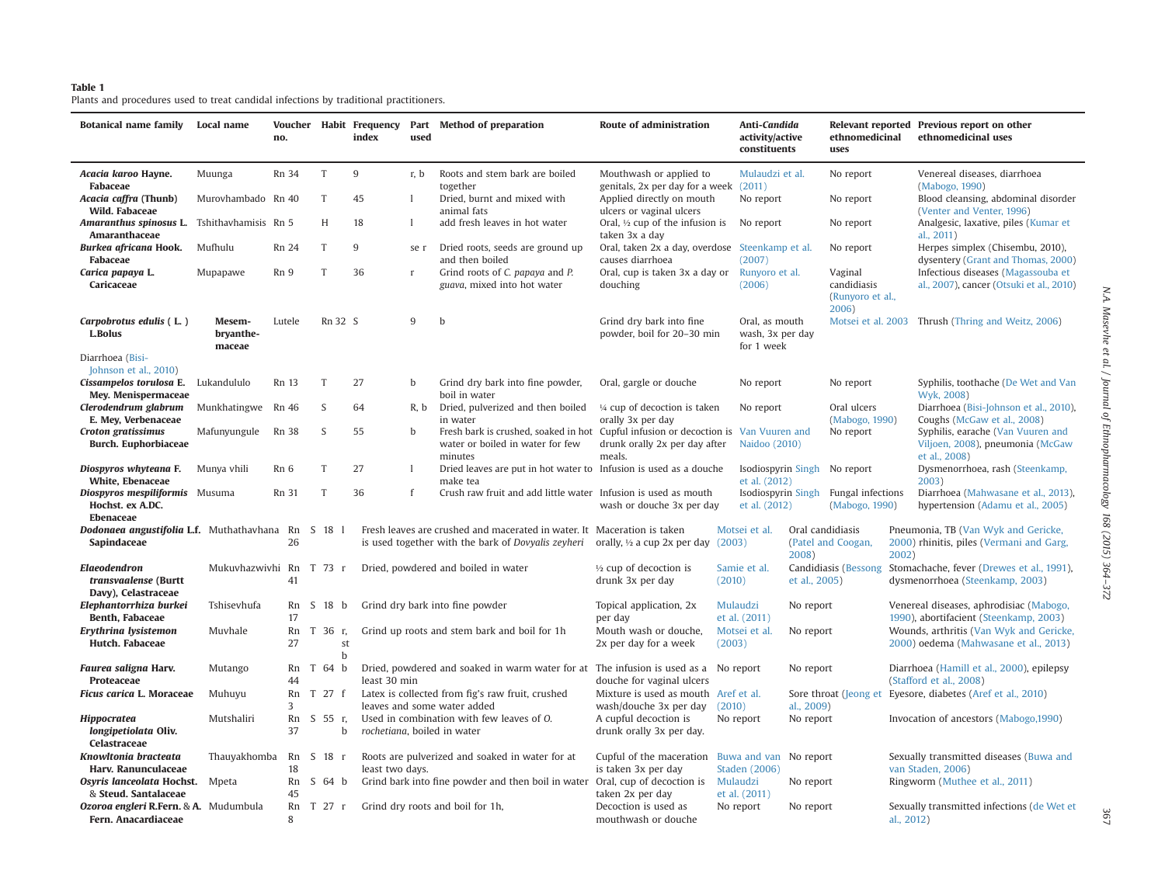#### <span id="page-3-0"></span>Table 1

Plants and procedures used to treat candidal infections by traditional practitioners.

| <b>Botanical name family</b>                                            | Local name                    | no.          |                              | index           | used         | Voucher Habit Frequency Part Method of preparation                                                                                 | Route of administration                                                       | Anti-Candida<br>activity/active<br>constituents  |                                                     | ethnomedicinal<br>uses                                 |                                                                                | Relevant reported Previous report on other<br>ethnomedicinal uses                      |  |
|-------------------------------------------------------------------------|-------------------------------|--------------|------------------------------|-----------------|--------------|------------------------------------------------------------------------------------------------------------------------------------|-------------------------------------------------------------------------------|--------------------------------------------------|-----------------------------------------------------|--------------------------------------------------------|--------------------------------------------------------------------------------|----------------------------------------------------------------------------------------|--|
| Acacia karoo Hayne.<br>Fabaceae                                         | Muunga                        | <b>Rn</b> 34 | T                            | 9               | r. b         | Roots and stem bark are boiled<br>together                                                                                         | Mouthwash or applied to<br>genitals, 2x per day for a week (2011)             | Mulaudzi et al.                                  |                                                     | No report                                              |                                                                                | Venereal diseases, diarrhoea<br>(Mabogo, 1990)                                         |  |
| Acacia caffra (Thunb)<br>Wild. Fabaceae                                 | Murovhambado Rn 40            |              | T                            | 45              | $\mathbf{I}$ | Dried, burnt and mixed with<br>animal fats                                                                                         | Applied directly on mouth<br>ulcers or vaginal ulcers                         | No report                                        |                                                     | No report                                              |                                                                                | Blood cleansing, abdominal disorder<br>(Venter and Venter, 1996)                       |  |
| Amaranthus spinosus L. Tshithavhamisis Rn 5<br>Amaranthaceae            |                               |              | H                            | 18              | $\mathbf{I}$ | add fresh leaves in hot water                                                                                                      | Oral, $\frac{1}{2}$ cup of the infusion is No report<br>taken 3x a day        |                                                  |                                                     | No report                                              |                                                                                | Analgesic, laxative, piles (Kumar et<br>al., 2011)                                     |  |
| Burkea africana Hook.<br>Fabaceae                                       | Mufhulu                       | <b>Rn 24</b> | T                            | 9               | se r         | Dried roots, seeds are ground up<br>and then boiled                                                                                | Oral, taken 2x a day, overdose Steenkamp et al.<br>causes diarrhoea<br>(2007) |                                                  | No report                                           |                                                        |                                                                                | Herpes simplex (Chisembu, 2010),<br>dysentery (Grant and Thomas, 2000)                 |  |
| Carica papaya L.<br>Caricaceae                                          | Mupapawe                      | Rn 9         | T                            | 36              | $\Gamma$     | Grind roots of C. papaya and P.<br>guava, mixed into hot water                                                                     | Oral, cup is taken 3x a day or Runyoro et al.<br>douching                     | (2006)                                           | Vaginal<br>candidiasis<br>(Runyoro et al.,<br>2006) |                                                        | Infectious diseases (Magassouba et<br>al., 2007), cancer (Otsuki et al., 2010) |                                                                                        |  |
| Carpobrotus edulis (L.)<br>L.Bolus<br>Diarrhoea (Bisi-                  | Mesem-<br>bryanthe-<br>maceae | Lutele       | Rn 32 S                      |                 | 9            | b                                                                                                                                  | Grind dry bark into fine<br>powder, boil for 20-30 min                        | Oral, as mouth<br>wash, 3x per day<br>for 1 week |                                                     |                                                        |                                                                                | Motsei et al. 2003 Thrush (Thring and Weitz, 2006)                                     |  |
| Johnson et al., 2010)<br>Cissampelos torulosa E.<br>Mey. Menispermaceae | Lukandululo                   | Rn 13        | T                            | 27              | b            | Grind dry bark into fine powder,<br>boil in water                                                                                  | Oral, gargle or douche                                                        | No report                                        |                                                     | No report                                              |                                                                                | Syphilis, toothache (De Wet and Van<br>Wyk, 2008)                                      |  |
| Clerodendrum glabrum<br>E. Mey, Verbenaceae                             | Munkhatingwe                  | Rn 46        | S                            | 64              | R, b         | Dried, pulverized and then boiled<br>in water                                                                                      | 1/4 cup of decoction is taken<br>orally 3x per day                            | No report                                        |                                                     | Oral ulcers<br>(Mabogo, 1990)                          |                                                                                | Diarrhoea (Bisi-Johnson et al., 2010),<br>Coughs (McGaw et al., 2008)                  |  |
| <b>Croton gratissimus</b><br>Burch. Euphorbiaceae                       | Mafunyungule                  | <b>Rn 38</b> | S                            | 55              | $\mathbf b$  | Fresh bark is crushed, soaked in hot Cupful infusion or decoction is Van Vuuren and<br>water or boiled in water for few<br>minutes | drunk orally 2x per day after<br>meals.                                       | Naidoo (2010)                                    |                                                     | No report                                              |                                                                                | Syphilis, earache (Van Vuuren and<br>Viljoen, 2008), pneumonia (McGaw<br>et al., 2008) |  |
| Diospyros whyteana F.<br><b>White, Ebenaceae</b>                        | Munya vhili                   | Rn 6         | T                            | 27              | $\mathbf{I}$ | Dried leaves are put in hot water to Infusion is used as a douche<br>make tea                                                      |                                                                               | et al. (2012)                                    |                                                     | Isodiospyrin Singh No report                           |                                                                                | Dysmenorrhoea, rash (Steenkamp,<br>2003)                                               |  |
| Diospyros mespiliformis Musuma<br>Hochst. ex A.DC.<br>Ebenaceae         |                               | <b>Rn</b> 31 | T                            | 36              | $\mathsf{f}$ | Crush raw fruit and add little water Infusion is used as mouth                                                                     | wash or douche 3x per day                                                     | et al. (2012)                                    |                                                     | Isodiospyrin Singh Fungal infections<br>(Mabogo, 1990) |                                                                                | Diarrhoea (Mahwasane et al., 2013),<br>hypertension (Adamu et al., 2005)               |  |
| Dodonaea angustifolia L.f. Muthathavhana Rn<br>Sapindaceae              |                               | 26           | S 18 1                       |                 |              | Fresh leaves are crushed and macerated in water. It Maceration is taken<br>is used together with the bark of Dovyalis zeyheri      | orally, $\frac{1}{2}$ a cup 2x per day                                        | Motsei et al.<br>(2003)                          | Oral candidiasis<br>2008)                           | (Patel and Coogan,                                     | 2002)                                                                          | Pneumonia, TB (Van Wyk and Gericke,<br>2000) rhinitis, piles (Vermani and Garg,        |  |
| Elaeodendron<br>transvaalense (Burtt<br>Davy), Celastraceae             | Mukuvhazwivhi Rn T 73 r       | 41           |                              |                 |              | Dried, powdered and boiled in water                                                                                                | $\frac{1}{2}$ cup of decoction is<br>drunk 3x per day                         | Samie et al.<br>(2010)                           | et al., 2005)                                       | Candidiasis (Bessong                                   |                                                                                | Stomachache, fever (Drewes et al., 1991),<br>dysmenorrhoea (Steenkamp, 2003)           |  |
| Elephantorrhiza burkei<br>Benth, Fabaceae                               | Tshisevhufa                   | 17           | Rn S 18 b                    |                 |              | Grind dry bark into fine powder                                                                                                    | Topical application, 2x<br>per day                                            | Mulaudzi<br>et al. (2011)                        | No report                                           |                                                        |                                                                                | Venereal diseases, aphrodisiac (Mabogo,<br>1990), abortifacient (Steenkamp, 2003)      |  |
| Erythrina lysistemon<br>Hutch. Fabaceae                                 | Muvhale                       | Rn<br>27     | T 36 r,<br>st<br>$\mathbf b$ |                 |              | Grind up roots and stem bark and boil for 1h                                                                                       | Mouth wash or douche,<br>2x per day for a week                                | Motsei et al.<br>(2003)                          | No report                                           |                                                        |                                                                                | Wounds, arthritis (Van Wyk and Gericke,<br>2000) oedema (Mahwasane et al., 2013)       |  |
| Faurea saligna Harv.<br>Proteaceae                                      | Mutango                       | Rn<br>44     | T 64 b                       | least 30 min    |              | Dried, powdered and soaked in warm water for at                                                                                    | The infusion is used as a No report<br>douche for vaginal ulcers              |                                                  | No report                                           |                                                        |                                                                                | Diarrhoea (Hamill et al., 2000), epilepsy<br>(Stafford et al., 2008)                   |  |
| Ficus carica L. Moraceae                                                | Muhuyu                        | Rn<br>3      | T 27 f                       |                 |              | Latex is collected from fig's raw fruit, crushed<br>leaves and some water added                                                    | Mixture is used as mouth Aref et al.<br>wash/douche 3x per day                | (2010)                                           | al., 2009)                                          |                                                        |                                                                                | Sore throat (Jeong et Eyesore, diabetes (Aref et al., 2010)                            |  |
| Hippocratea<br>longipetiolata Oliv.<br>Celastraceae                     | Mutshaliri                    | 37           | Rn S 55 r,<br>b              |                 |              | Used in combination with few leaves of O.<br>rochetiana, boiled in water                                                           | A cupful decoction is<br>drunk orally 3x per day.                             | No report                                        | No report                                           |                                                        |                                                                                | Invocation of ancestors (Mabogo, 1990)                                                 |  |
| Knowltonia bracteata<br>Harv. Ranunculaceae                             | Thauyakhomba                  | 18           | Rn S 18 r                    | least two days. |              | Roots are pulverized and soaked in water for at                                                                                    | Cupful of the maceration Buwa and van No report<br>is taken 3x per day        | <b>Staden (2006)</b>                             |                                                     |                                                        |                                                                                | Sexually transmitted diseases (Buwa and<br>van Staden, 2006)                           |  |
| Osyris lanceolata Hochst. Mpeta<br>& Steud. Santalaceae                 |                               | Rn<br>45     | S 64 b                       |                 |              | Grind bark into fine powder and then boil in water                                                                                 | Oral, cup of decoction is<br>taken 2x per day                                 | Mulaudzi<br>et al. (2011)                        | No report                                           |                                                        |                                                                                | Ringworm (Muthee et al., 2011)                                                         |  |
| Ozoroa engleri R.Fern. & A. Mudumbula<br>Fern. Anacardiaceae            |                               | Rn<br>8      | T 27 r                       |                 |              | Grind dry roots and boil for 1h,                                                                                                   | Decoction is used as<br>mouthwash or douche                                   | No report                                        | No report                                           |                                                        | al., 2012)                                                                     | Sexually transmitted infections (de Wet et                                             |  |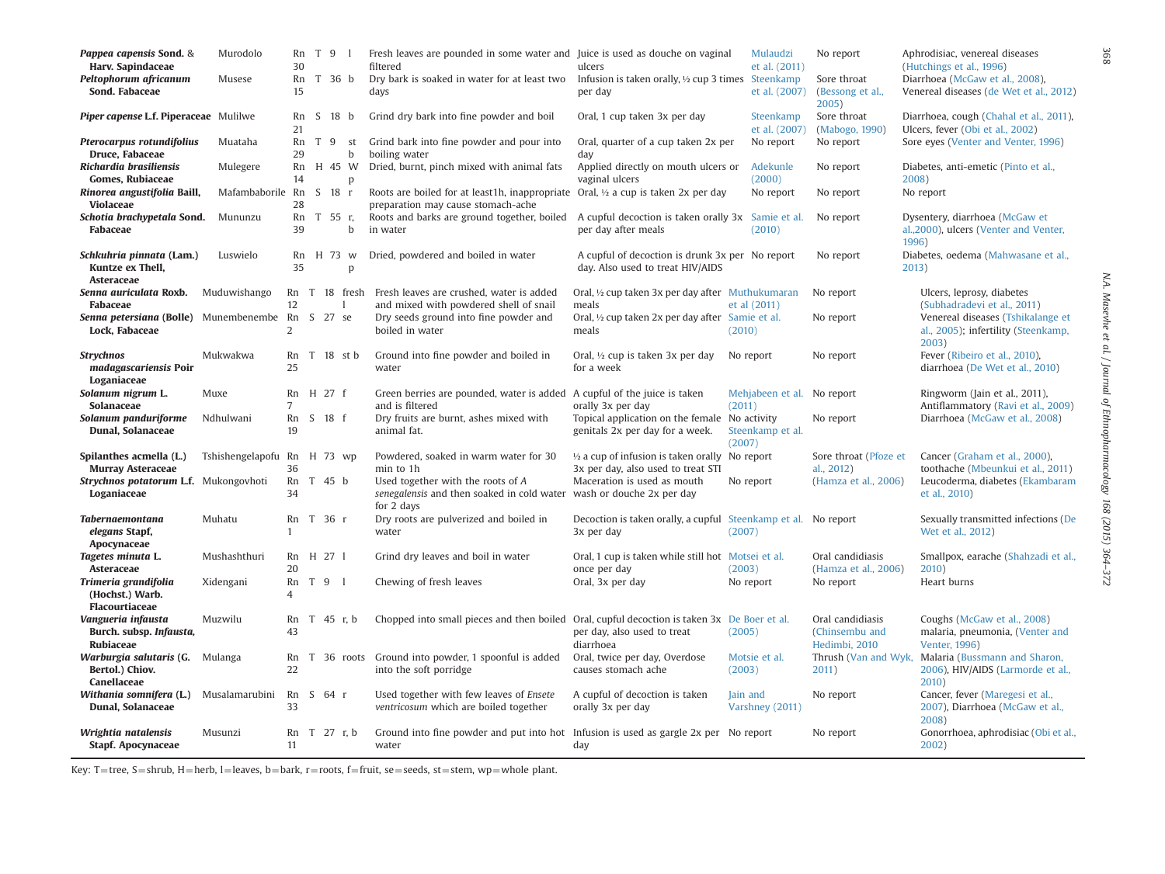| Pappea capensis Sond. &<br>Harv. Sapindaceae<br>Peltophorum africanum      | Murodolo<br>Musese          | Rn<br>30<br>Rn             | T 9<br>T     | 36 b            | $\blacksquare$ | Fresh leaves are pounded in some water and Juice is used as douche on vaginal<br>filtered<br>Dry bark is soaked in water for at least two | ulcers<br>Infusion is taken orally, $\frac{1}{2}$ cup 3 times Steenkamp                         |          | Mulaudzi<br>et al. (2011)       | No report<br>Sore throat                            |       | Aphrodisiac, venereal diseases<br>(Hutchings et al., 1996)<br>Diarrhoea (McGaw et al., 2008),                    |
|----------------------------------------------------------------------------|-----------------------------|----------------------------|--------------|-----------------|----------------|-------------------------------------------------------------------------------------------------------------------------------------------|-------------------------------------------------------------------------------------------------|----------|---------------------------------|-----------------------------------------------------|-------|------------------------------------------------------------------------------------------------------------------|
| Sond. Fabaceae                                                             |                             | 15                         |              |                 |                | days                                                                                                                                      | per day                                                                                         |          | et al. (2007)                   | (Bessong et al.,<br>2005)                           |       | Venereal diseases (de Wet et al., 2012)                                                                          |
| Piper capense L.f. Piperaceae Mulilwe                                      |                             | 21                         | Rn S         | 18 b            |                | Grind dry bark into fine powder and boil                                                                                                  | Oral, 1 cup taken 3x per day                                                                    |          | Steenkamp<br>et al. (2007)      | Sore throat<br>(Mabogo, 1990)                       |       | Diarrhoea, cough (Chahal et al., 2011),<br>Ulcers, fever (Obi et al., 2002)                                      |
| Pterocarpus rotundifolius<br>Druce, Fabaceae                               | Muataha                     | Rn<br>29                   | T 9          |                 | st<br>b        | Grind bark into fine powder and pour into<br>boiling water                                                                                | Oral, quarter of a cup taken 2x per<br>day                                                      |          | No report                       | No report                                           |       | Sore eyes (Venter and Venter, 1996)                                                                              |
| Richardia brasiliensis<br>Gomes, Rubiaceae                                 | Mulegere                    | Rn<br>14                   |              | H 45 W          | p              | Dried, burnt, pinch mixed with animal fats                                                                                                | Applied directly on mouth ulcers or<br>vaginal ulcers                                           |          | Adekunle<br>(2000)              | No report                                           | 2008) | Diabetes, anti-emetic (Pinto et al.,                                                                             |
| Rinorea angustifolia Baill,<br><b>Violaceae</b>                            | Mafambaborile Rn S 18 r     | 28                         |              |                 |                | Roots are boiled for at least1h, inappropriate Oral, $\frac{1}{2}$ a cup is taken 2x per day<br>preparation may cause stomach-ache        |                                                                                                 |          | No report                       | No report                                           |       | No report                                                                                                        |
| Schotia brachypetala Sond.<br>Fabaceae                                     | Mununzu                     | Rn<br>39                   |              | T 55 r.         | $\mathbf b$    | Roots and barks are ground together, boiled<br>in water                                                                                   | A cupful decoction is taken orally 3x Samie et al.<br>per day after meals                       |          | (2010)                          | No report                                           | 1996) | Dysentery, diarrhoea (McGaw et<br>al., 2000), ulcers (Venter and Venter,                                         |
| Schkuhria pinnata (Lam.)<br>Kuntze ex Thell,<br>Asteraceae                 | Luswielo                    | Rn<br>35                   |              | H 73 w          | p              | Dried, powdered and boiled in water                                                                                                       | A cupful of decoction is drunk 3x per No report<br>day. Also used to treat HIV/AIDS             |          |                                 | No report                                           | 2013) | Diabetes, oedema (Mahwasane et al.,                                                                              |
| Senna auriculata Roxb.                                                     | Muduwishango                | Rn                         | T 18 fresh   |                 |                | Fresh leaves are crushed, water is added                                                                                                  | Oral, 1/2 cup taken 3x per day after Muthukumaran                                               |          |                                 | No report                                           |       | Ulcers, leprosy, diabetes                                                                                        |
| <b>Fabaceae</b><br>Senna petersiana (Bolle) Munembenembe<br>Lock, Fabaceae |                             | 12<br>Rn<br>$\overline{2}$ | S            | 27 se           |                | and mixed with powdered shell of snail<br>Dry seeds ground into fine powder and<br>boiled in water                                        | meals<br>Oral, 1/2 cup taken 2x per day after Samie et al.<br>meals                             | (2010)   | et al (2011)                    | No report                                           |       | (Subhadradevi et al., 2011)<br>Venereal diseases (Tshikalange et<br>al., 2005); infertility (Steenkamp,<br>2003) |
| <b>Strychnos</b><br>madagascariensis Poir<br>Loganiaceae                   | Mukwakwa                    | Rn<br>25                   | T 18 st b    |                 |                | Ground into fine powder and boiled in<br>water                                                                                            | Oral, 1/2 cup is taken 3x per day<br>for a week                                                 |          | No report                       | No report                                           |       | Fever (Ribeiro et al., 2010),<br>diarrhoea (De Wet et al., 2010)                                                 |
| Solanum nigrum L.<br>Solanaceae                                            | Muxe                        | Rn<br>7                    | H 27 f       |                 |                | Green berries are pounded, water is added A cupful of the juice is taken<br>and is filtered                                               | orally 3x per day                                                                               | (2011)   | Mehjabeen et al. No report      |                                                     |       | Ringworm (Jain et al., 2011),<br>Antiflammatory (Ravi et al., 2009)                                              |
| Solanum panduriforme<br>Dunal, Solanaceae                                  | Ndhulwani                   | Rn<br>19                   | S 18 f       |                 |                | Dry fruits are burnt, ashes mixed with<br>animal fat.                                                                                     | Topical application on the female<br>genitals 2x per day for a week.                            | (2007)   | No activity<br>Steenkamp et al. | No report                                           |       | Diarrhoea (McGaw et al., 2008)                                                                                   |
| Spilanthes acmella (L.)<br><b>Murray Asteraceae</b>                        | Tshishengelapofu Rn H 73 wp | 36                         |              |                 |                | Powdered, soaked in warm water for 30<br>min to 1h                                                                                        | $\frac{1}{2}$ a cup of infusion is taken orally No report<br>3x per day, also used to treat STI |          |                                 | Sore throat (Pfoze et<br>al., 2012)                 |       | Cancer (Graham et al., 2000),<br>toothache (Mbeunkui et al., 2011)                                               |
| Strychnos potatorum L.f. Mukongovhoti<br>Loganiaceae                       |                             | Rn<br>34                   | T 45 b       |                 |                | Used together with the roots of A<br>senegalensis and then soaked in cold water wash or douche 2x per day<br>for 2 days                   | Maceration is used as mouth                                                                     |          | No report                       | (Hamza et al., 2006)                                |       | Leucoderma, diabetes (Ekambaram<br>et al., 2010)                                                                 |
| <b>Tabernaemontana</b><br>elegans Stapf,<br>Apocynaceae                    | Muhatu                      | Rn<br>1                    | T            | 36 <sub>r</sub> |                | Dry roots are pulverized and boiled in<br>water                                                                                           | Decoction is taken orally, a cupful Steenkamp et al. No report<br>3x per day                    | (2007)   |                                 |                                                     |       | Sexually transmitted infections (De<br>Wet et al., 2012)                                                         |
| Tagetes minuta L.<br><b>Asteraceae</b>                                     | Mushashthuri                | Rn<br>20                   | H 27 1       |                 |                | Grind dry leaves and boil in water                                                                                                        | Oral, 1 cup is taken while still hot Motsei et al.<br>once per day                              | (2003)   |                                 | Oral candidiasis<br>(Hamza et al., 2006)            |       | Smallpox, earache (Shahzadi et al.,<br>2010)                                                                     |
| Trimeria grandifolia<br>(Hochst.) Warb.<br>Flacourtiaceae                  | Xidengani                   | 4                          | Rn T 9 1     |                 |                | Chewing of fresh leaves                                                                                                                   | Oral, 3x per day                                                                                |          | No report                       | No report                                           |       | Heart burns                                                                                                      |
| Vangueria infausta<br>Burch. subsp. Infausta,<br>Rubiaceae                 | Muzwilu                     | 43                         | Rn T 45 r, b |                 |                | Chopped into small pieces and then boiled Oral, cupful decoction is taken 3x De Boer et al.                                               | per day, also used to treat<br>diarrhoea                                                        | (2005)   |                                 | Oral candidiasis<br>(Chinsembu and<br>Hedimbi, 2010 |       | Coughs (McGaw et al., 2008)<br>malaria, pneumonia, (Venter and<br>Venter, 1996)                                  |
| Warburgia salutaris (G.<br>Bertol.) Chiov.<br>Canellaceae                  | Mulanga                     | Rn<br>22                   |              |                 |                | T 36 roots Ground into powder, 1 spoonful is added<br>into the soft porridge                                                              | Oral, twice per day, Overdose<br>causes stomach ache                                            | (2003)   | Motsie et al.                   | 2011)                                               |       | Thrush (Van and Wyk, Malaria (Bussmann and Sharon,<br>2006), HIV/AIDS (Larmorde et al.,<br>2010)                 |
| Withania somnifera (L.)<br>Dunal, Solanaceae                               | Musalamarubini              | Rn<br>33                   | $S$ 64 $r$   |                 |                | Used together with few leaves of Ensete<br>ventricosum which are boiled together                                                          | A cupful of decoction is taken<br>orally 3x per day                                             | Jain and | Varshney (2011)                 | No report                                           |       | Cancer, fever (Maregesi et al.,<br>2007), Diarrhoea (McGaw et al.,<br>2008)                                      |
| Wrightia natalensis<br>Stapf. Apocynaceae                                  | Musunzi                     | 11                         | Rn T 27 r, b |                 |                | Ground into fine powder and put into hot Infusion is used as gargle 2x per No report<br>water                                             | day                                                                                             |          |                                 | No report                                           |       | Gonorrhoea, aphrodisiac (Obi et al.,<br>2002)                                                                    |

Key: T=tree, S=shrub, H=herb, l=leaves, b=bark, r=roots, f=fruit, se=seeds, st=stem, wp=whole plant.

N.A. Masevhe et al. / Journal of Ethnopharmacology 168 (2015) 364 N.A. Masevhe et al. / Journal of Ethnopharmacology 168 (2015) 364-372 368 (2015) 364–372 Masevhe et al. / Journal of Ethnopharmacology 168 (2015) 364–372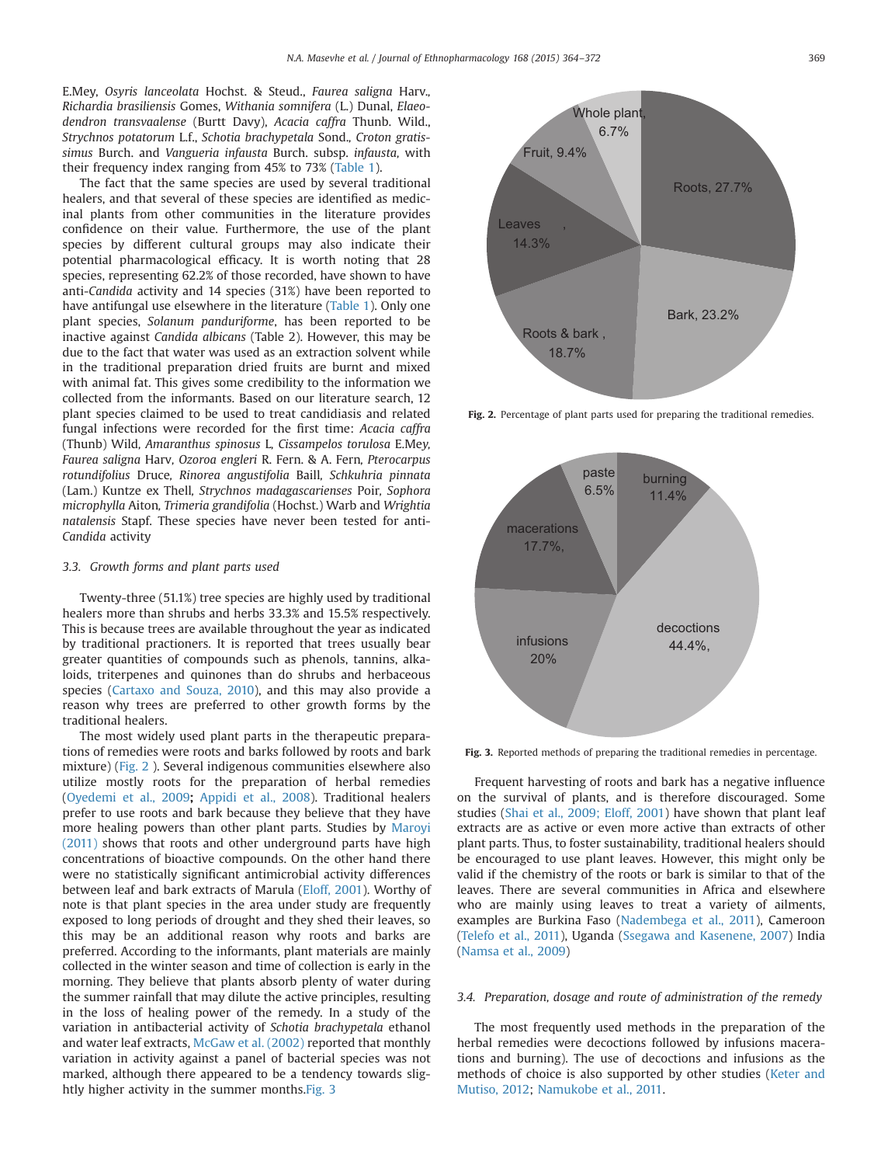E.Mey, Osyris lanceolata Hochst. & Steud., Faurea saligna Harv., Richardia brasiliensis Gomes, Withania somnifera (L.) Dunal, Elaeodendron transvaalense (Burtt Davy), Acacia caffra Thunb. Wild., Strychnos potatorum L.f., Schotia brachypetala Sond., Croton gratissimus Burch. and Vangueria infausta Burch. subsp. infausta, with their frequency index ranging from 45% to 73% [\(Table 1\)](#page-3-0).

The fact that the same species are used by several traditional healers, and that several of these species are identified as medicinal plants from other communities in the literature provides confidence on their value. Furthermore, the use of the plant species by different cultural groups may also indicate their potential pharmacological efficacy. It is worth noting that 28 species, representing 62.2% of those recorded, have shown to have anti-Candida activity and 14 species (31%) have been reported to have antifungal use elsewhere in the literature [\(Table 1](#page-3-0)). Only one plant species, Solanum panduriforme, has been reported to be inactive against Candida albicans (Table 2). However, this may be due to the fact that water was used as an extraction solvent while in the traditional preparation dried fruits are burnt and mixed with animal fat. This gives some credibility to the information we collected from the informants. Based on our literature search, 12 plant species claimed to be used to treat candidiasis and related fungal infections were recorded for the first time: Acacia caffra (Thunb) Wild, Amaranthus spinosus L, Cissampelos torulosa E.Mey, Faurea saligna Harv, Ozoroa engleri R. Fern. & A. Fern, Pterocarpus rotundifolius Druce, Rinorea angustifolia Baill, Schkuhria pinnata (Lam.) Kuntze ex Thell, Strychnos madagascarienses Poir, Sophora microphylla Aiton, Trimeria grandifolia (Hochst.) Warb and Wrightia natalensis Stapf. These species have never been tested for anti-Candida activity

## 3.3. Growth forms and plant parts used

Twenty-three (51.1%) tree species are highly used by traditional healers more than shrubs and herbs 33.3% and 15.5% respectively. This is because trees are available throughout the year as indicated by traditional practioners. It is reported that trees usually bear greater quantities of compounds such as phenols, tannins, alkaloids, triterpenes and quinones than do shrubs and herbaceous species [\(Cartaxo and Souza, 2010](#page-7-0)), and this may also provide a reason why trees are preferred to other growth forms by the traditional healers.

The most widely used plant parts in the therapeutic preparations of remedies were roots and barks followed by roots and bark mixture) (Fig. 2 ). Several indigenous communities elsewhere also utilize mostly roots for the preparation of herbal remedies ([Oyedemi et al., 2009](#page-7-0); [Appidi et al., 2008\)](#page-6-0). Traditional healers prefer to use roots and bark because they believe that they have more healing powers than other plant parts. Studies by [Maroyi](#page-7-0) [\(2011\)](#page-7-0) shows that roots and other underground parts have high concentrations of bioactive compounds. On the other hand there were no statistically significant antimicrobial activity differences between leaf and bark extracts of Marula [\(Eloff, 2001](#page-7-0)). Worthy of note is that plant species in the area under study are frequently exposed to long periods of drought and they shed their leaves, so this may be an additional reason why roots and barks are preferred. According to the informants, plant materials are mainly collected in the winter season and time of collection is early in the morning. They believe that plants absorb plenty of water during the summer rainfall that may dilute the active principles, resulting in the loss of healing power of the remedy. In a study of the variation in antibacterial activity of Schotia brachypetala ethanol and water leaf extracts, [McGaw et al. \(2002\)](#page-7-0) reported that monthly variation in activity against a panel of bacterial species was not marked, although there appeared to be a tendency towards slightly higher activity in the summer months. Fig. 3



Fig. 2. Percentage of plant parts used for preparing the traditional remedies.



Fig. 3. Reported methods of preparing the traditional remedies in percentage.

Frequent harvesting of roots and bark has a negative influence on the survival of plants, and is therefore discouraged. Some studies [\(Shai et al., 2009; Eloff, 2001](#page-7-0)) have shown that plant leaf extracts are as active or even more active than extracts of other plant parts. Thus, to foster sustainability, traditional healers should be encouraged to use plant leaves. However, this might only be valid if the chemistry of the roots or bark is similar to that of the leaves. There are several communities in Africa and elsewhere who are mainly using leaves to treat a variety of ailments, examples are Burkina Faso [\(Nadembega et al., 2011](#page-7-0)), Cameroon ([Telefo et al., 2011\)](#page-8-0), Uganda ([Ssegawa and Kasenene, 2007](#page-8-0)) India ([Namsa et al., 2009\)](#page-7-0)

### 3.4. Preparation, dosage and route of administration of the remedy

The most frequently used methods in the preparation of the herbal remedies were decoctions followed by infusions macerations and burning). The use of decoctions and infusions as the methods of choice is also supported by other studies [\(Keter and](#page-7-0) [Mutiso, 2012;](#page-7-0) [Namukobe et al., 2011.](#page-7-0)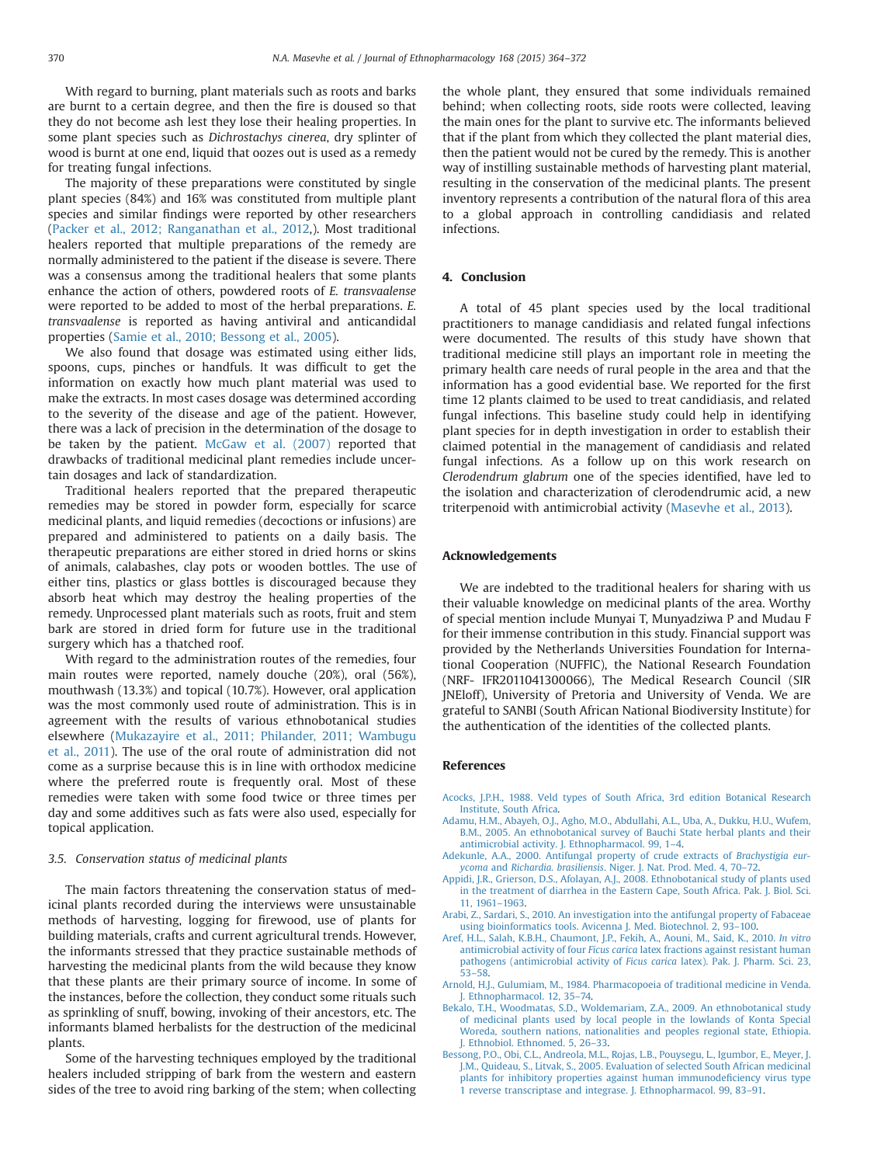<span id="page-6-0"></span>With regard to burning, plant materials such as roots and barks are burnt to a certain degree, and then the fire is doused so that they do not become ash lest they lose their healing properties. In some plant species such as Dichrostachys cinerea, dry splinter of wood is burnt at one end, liquid that oozes out is used as a remedy for treating fungal infections.

The majority of these preparations were constituted by single plant species (84%) and 16% was constituted from multiple plant species and similar findings were reported by other researchers ([Packer et al., 2012; Ranganathan et al., 2012,](#page-8-0)). Most traditional healers reported that multiple preparations of the remedy are normally administered to the patient if the disease is severe. There was a consensus among the traditional healers that some plants enhance the action of others, powdered roots of E. transvaalense were reported to be added to most of the herbal preparations. E. transvaalense is reported as having antiviral and anticandidal properties (Samie et al., 2010; Bessong et al., 2005).

We also found that dosage was estimated using either lids, spoons, cups, pinches or handfuls. It was difficult to get the information on exactly how much plant material was used to make the extracts. In most cases dosage was determined according to the severity of the disease and age of the patient. However, there was a lack of precision in the determination of the dosage to be taken by the patient. [McGaw et al. \(2007\)](#page-7-0) reported that drawbacks of traditional medicinal plant remedies include uncertain dosages and lack of standardization.

Traditional healers reported that the prepared therapeutic remedies may be stored in powder form, especially for scarce medicinal plants, and liquid remedies (decoctions or infusions) are prepared and administered to patients on a daily basis. The therapeutic preparations are either stored in dried horns or skins of animals, calabashes, clay pots or wooden bottles. The use of either tins, plastics or glass bottles is discouraged because they absorb heat which may destroy the healing properties of the remedy. Unprocessed plant materials such as roots, fruit and stem bark are stored in dried form for future use in the traditional surgery which has a thatched roof.

With regard to the administration routes of the remedies, four main routes were reported, namely douche (20%), oral (56%), mouthwash (13.3%) and topical (10.7%). However, oral application was the most commonly used route of administration. This is in agreement with the results of various ethnobotanical studies elsewhere [\(Mukazayire et al., 2011; Philander, 2011; Wambugu](#page-8-0) [et al., 2011](#page-8-0)). The use of the oral route of administration did not come as a surprise because this is in line with orthodox medicine where the preferred route is frequently oral. Most of these remedies were taken with some food twice or three times per day and some additives such as fats were also used, especially for topical application.

#### 3.5. Conservation status of medicinal plants

The main factors threatening the conservation status of medicinal plants recorded during the interviews were unsustainable methods of harvesting, logging for firewood, use of plants for building materials, crafts and current agricultural trends. However, the informants stressed that they practice sustainable methods of harvesting the medicinal plants from the wild because they know that these plants are their primary source of income. In some of the instances, before the collection, they conduct some rituals such as sprinkling of snuff, bowing, invoking of their ancestors, etc. The informants blamed herbalists for the destruction of the medicinal plants.

Some of the harvesting techniques employed by the traditional healers included stripping of bark from the western and eastern sides of the tree to avoid ring barking of the stem; when collecting the whole plant, they ensured that some individuals remained behind; when collecting roots, side roots were collected, leaving the main ones for the plant to survive etc. The informants believed that if the plant from which they collected the plant material dies, then the patient would not be cured by the remedy. This is another way of instilling sustainable methods of harvesting plant material, resulting in the conservation of the medicinal plants. The present inventory represents a contribution of the natural flora of this area to a global approach in controlling candidiasis and related infections.

### 4. Conclusion

A total of 45 plant species used by the local traditional practitioners to manage candidiasis and related fungal infections were documented. The results of this study have shown that traditional medicine still plays an important role in meeting the primary health care needs of rural people in the area and that the information has a good evidential base. We reported for the first time 12 plants claimed to be used to treat candidiasis, and related fungal infections. This baseline study could help in identifying plant species for in depth investigation in order to establish their claimed potential in the management of candidiasis and related fungal infections. As a follow up on this work research on Clerodendrum glabrum one of the species identified, have led to the isolation and characterization of clerodendrumic acid, a new triterpenoid with antimicrobial activity [\(Masevhe et al., 2013](#page-7-0)).

#### Acknowledgements

We are indebted to the traditional healers for sharing with us their valuable knowledge on medicinal plants of the area. Worthy of special mention include Munyai T, Munyadziwa P and Mudau F for their immense contribution in this study. Financial support was provided by the Netherlands Universities Foundation for International Cooperation (NUFFIC), the National Research Foundation (NRF- IFR2011041300066), The Medical Research Council (SIR JNEloff), University of Pretoria and University of Venda. We are grateful to SANBI (South African National Biodiversity Institute) for the authentication of the identities of the collected plants.

# References

- [Acocks, J.P.H., 1988. Veld types of South Africa, 3rd edition Botanical Research](http://refhub.elsevier.com/S0378-8741(15)00198-1/sbref2) [Institute, South Africa.](http://refhub.elsevier.com/S0378-8741(15)00198-1/sbref2)
- [Adamu, H.M., Abayeh, O.J., Agho, M.O., Abdullahi, A.L., Uba, A., Dukku, H.U., Wufem,](http://refhub.elsevier.com/S0378-8741(15)00198-1/sbref3) [B.M., 2005. An ethnobotanical survey of Bauchi State herbal plants and their](http://refhub.elsevier.com/S0378-8741(15)00198-1/sbref3) [antimicrobial activity. J. Ethnopharmacol. 99, 1](http://refhub.elsevier.com/S0378-8741(15)00198-1/sbref3)–4.
- [Adekunle, A.A., 2000. Antifungal property of crude extracts of](http://refhub.elsevier.com/S0378-8741(15)00198-1/sbref4) Brachystigia eurycoma and Richardia. brasiliensis[. Niger. J. Nat. Prod. Med. 4, 70](http://refhub.elsevier.com/S0378-8741(15)00198-1/sbref4)–72.
- [Appidi, J.R., Grierson, D.S., Afolayan, A.J., 2008. Ethnobotanical study of plants used](http://refhub.elsevier.com/S0378-8741(15)00198-1/sbref6) [in the treatment of diarrhea in the Eastern Cape, South Africa. Pak. J. Biol. Sci.](http://refhub.elsevier.com/S0378-8741(15)00198-1/sbref6) [11, 1961](http://refhub.elsevier.com/S0378-8741(15)00198-1/sbref6)–1963.
- [Arabi, Z., Sardari, S., 2010. An investigation into the antifungal property of Fabaceae](http://refhub.elsevier.com/S0378-8741(15)00198-1/sbref7) [using bioinformatics tools. Avicenna J. Med. Biotechnol. 2, 93](http://refhub.elsevier.com/S0378-8741(15)00198-1/sbref7)–100.
- [Aref, H.L., Salah, K.B.H., Chaumont, J.P., Fekih, A., Aouni, M., Said, K., 2010.](http://refhub.elsevier.com/S0378-8741(15)00198-1/sbref8) In vitro antimicrobial activity of four Ficus carica [latex fractions against resistant human](http://refhub.elsevier.com/S0378-8741(15)00198-1/sbref8) [pathogens \(antimicrobial activity of](http://refhub.elsevier.com/S0378-8741(15)00198-1/sbref8) Ficus carica latex). Pak. J. Pharm. Sci. 23, 53–[58.](http://refhub.elsevier.com/S0378-8741(15)00198-1/sbref8)
- [Arnold, H.J., Gulumiam, M., 1984. Pharmacopoeia of traditional medicine in Venda.](http://refhub.elsevier.com/S0378-8741(15)00198-1/sbref9) [J. Ethnopharmacol. 12, 35](http://refhub.elsevier.com/S0378-8741(15)00198-1/sbref9)–74.
- [Bekalo, T.H., Woodmatas, S.D., Woldemariam, Z.A., 2009. An ethnobotanical study](http://refhub.elsevier.com/S0378-8741(15)00198-1/sbref10) [of medicinal plants used by local people in the lowlands of Konta Special](http://refhub.elsevier.com/S0378-8741(15)00198-1/sbref10) [Woreda, southern nations, nationalities and peoples regional state, Ethiopia.](http://refhub.elsevier.com/S0378-8741(15)00198-1/sbref10) [J. Ethnobiol. Ethnomed. 5, 26](http://refhub.elsevier.com/S0378-8741(15)00198-1/sbref10)–33.
- [Bessong, P.O., Obi, C.L., Andreola, M.L., Rojas, L.B., Pouysegu, L., Igumbor, E., Meyer, J.](http://refhub.elsevier.com/S0378-8741(15)00198-1/sbref11) [J.M., Quideau, S., Litvak, S., 2005. Evaluation of selected South African medicinal](http://refhub.elsevier.com/S0378-8741(15)00198-1/sbref11) [plants for inhibitory properties against human immunode](http://refhub.elsevier.com/S0378-8741(15)00198-1/sbref11)ficiency virus type [1 reverse transcriptase and integrase. J. Ethnopharmacol. 99, 83](http://refhub.elsevier.com/S0378-8741(15)00198-1/sbref11)–91.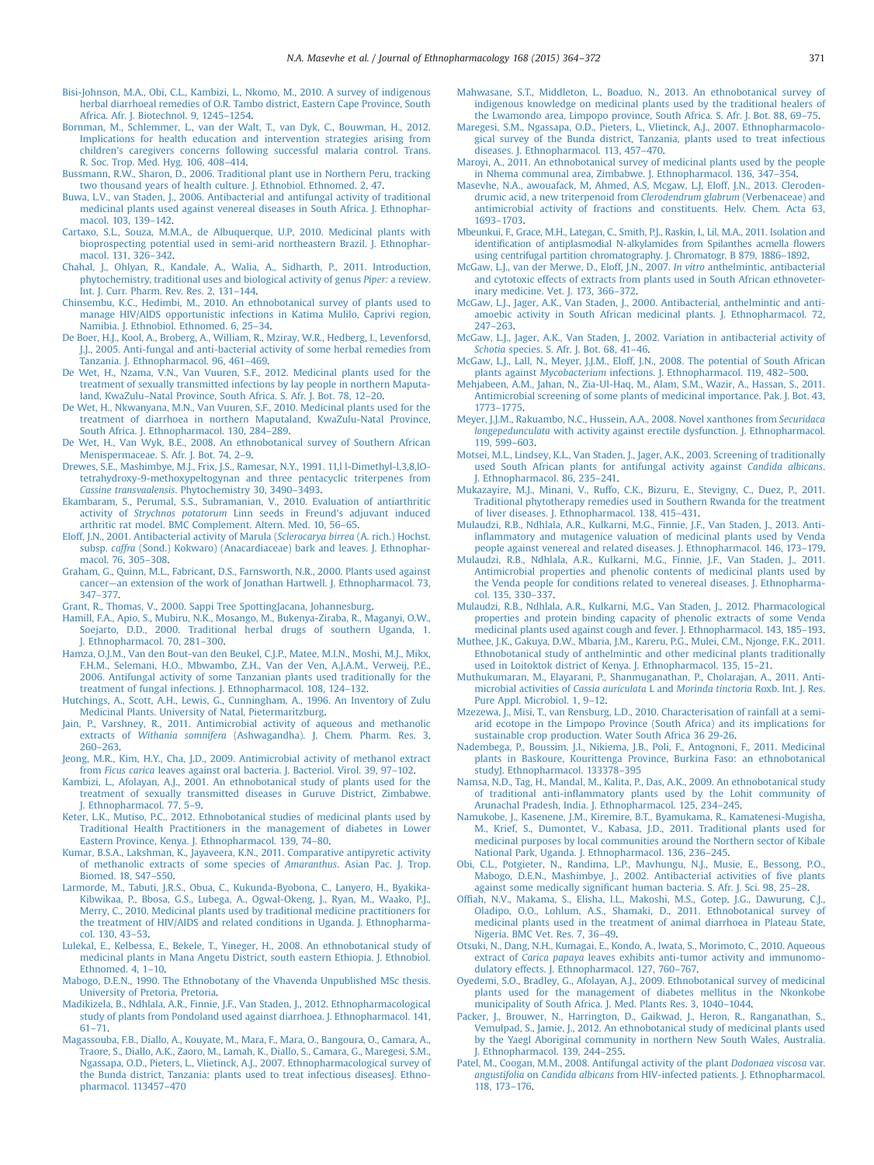- <span id="page-7-0"></span>[Bisi-Johnson, M.A., Obi, C.L., Kambizi, L., Nkomo, M., 2010. A survey of indigenous](http://refhub.elsevier.com/S0378-8741(15)00198-1/sbref12) [herbal diarrhoeal remedies of O.R. Tambo district, Eastern Cape Province, South](http://refhub.elsevier.com/S0378-8741(15)00198-1/sbref12) [Africa. Afr. J. Biotechnol. 9, 1245](http://refhub.elsevier.com/S0378-8741(15)00198-1/sbref12)–1254.
- [Bornman, M., Schlemmer, L., van der Walt, T., van Dyk, C., Bouwman, H., 2012.](http://refhub.elsevier.com/S0378-8741(15)00198-1/sbref13) [Implications for health education and intervention strategies arising from](http://refhub.elsevier.com/S0378-8741(15)00198-1/sbref13) [children's caregivers concerns following successful malaria control. Trans.](http://refhub.elsevier.com/S0378-8741(15)00198-1/sbref13) [R. Soc. Trop. Med. Hyg. 106, 408](http://refhub.elsevier.com/S0378-8741(15)00198-1/sbref13)–414.
- [Bussmann, R.W., Sharon, D., 2006. Traditional plant use in Northern Peru, tracking](http://refhub.elsevier.com/S0378-8741(15)00198-1/sbref14) [two thousand years of health culture. J. Ethnobiol. Ethnomed. 2, 47.](http://refhub.elsevier.com/S0378-8741(15)00198-1/sbref14)
- [Buwa, L.V., van Staden, J., 2006. Antibacterial and antifungal activity of traditional](http://refhub.elsevier.com/S0378-8741(15)00198-1/sbref15) [medicinal plants used against venereal diseases in South Africa. J. Ethnophar](http://refhub.elsevier.com/S0378-8741(15)00198-1/sbref15)[macol. 103, 139](http://refhub.elsevier.com/S0378-8741(15)00198-1/sbref15)–142.
- [Cartaxo, S.L., Souza, M.M.A., de Albuquerque, U.P, 2010. Medicinal plants with](http://refhub.elsevier.com/S0378-8741(15)00198-1/sbref18) [bioprospecting potential used in semi-arid northeastern Brazil. J. Ethnophar](http://refhub.elsevier.com/S0378-8741(15)00198-1/sbref18)[macol. 131, 326](http://refhub.elsevier.com/S0378-8741(15)00198-1/sbref18)–342.
- [Chahal, J., Ohlyan, R., Kandale, A., Walia, A., Sidharth, P., 2011. Introduction,](http://refhub.elsevier.com/S0378-8741(15)00198-1/sbref19) [phytochemistry, traditional uses and biological activity of genus](http://refhub.elsevier.com/S0378-8741(15)00198-1/sbref19) Piper: a review. [Int. J. Curr. Pharm. Rev. Res. 2, 131](http://refhub.elsevier.com/S0378-8741(15)00198-1/sbref19)–144.
- [Chinsembu, K.C., Hedimbi, M., 2010. An ethnobotanical survey of plants used to](http://refhub.elsevier.com/S0378-8741(15)00198-1/sbref20) [manage HIV/AIDS opportunistic infections in Katima Mulilo, Caprivi region,](http://refhub.elsevier.com/S0378-8741(15)00198-1/sbref20) [Namibia. J. Ethnobiol. Ethnomed. 6, 25](http://refhub.elsevier.com/S0378-8741(15)00198-1/sbref20)–34.
- [De Boer, H.J., Kool, A., Broberg, A., William, R., Mziray, W.R., Hedberg, I., Levenforsd,](http://refhub.elsevier.com/S0378-8741(15)00198-1/sbref21) [J.J., 2005. Anti-fungal and anti-bacterial activity of some herbal remedies from](http://refhub.elsevier.com/S0378-8741(15)00198-1/sbref21) [Tanzania. J. Ethnopharmacol. 96, 461](http://refhub.elsevier.com/S0378-8741(15)00198-1/sbref21)–469.
- [De Wet, H., Nzama, V.N., Van Vuuren, S.F., 2012. Medicinal plants used for the](http://refhub.elsevier.com/S0378-8741(15)00198-1/sbref22) [treatment of sexually transmitted infections by lay people in northern Maputa](http://refhub.elsevier.com/S0378-8741(15)00198-1/sbref22)land, KwaZulu–[Natal Province, South Africa. S. Afr. J. Bot. 78, 12](http://refhub.elsevier.com/S0378-8741(15)00198-1/sbref22)–20.
- [De Wet, H., Nkwanyana, M.N., Van Vuuren, S.F., 2010. Medicinal plants used for the](http://refhub.elsevier.com/S0378-8741(15)00198-1/sbref23) [treatment of diarrhoea in northern Maputaland, KwaZulu-Natal Province,](http://refhub.elsevier.com/S0378-8741(15)00198-1/sbref23) [South Africa. J. Ethnopharmacol. 130, 284](http://refhub.elsevier.com/S0378-8741(15)00198-1/sbref23)–289.
- [De Wet, H., Van Wyk, B.E., 2008. An ethnobotanical survey of Southern African](http://refhub.elsevier.com/S0378-8741(15)00198-1/sbref24) [Menispermaceae. S. Afr. J. Bot. 74, 2](http://refhub.elsevier.com/S0378-8741(15)00198-1/sbref24)–9.
- [Drewes, S.E., Mashimbye, M.J., Frix, J.S., Ramesar, N.Y., 1991. 11,l l-Dimethyl-l,3,8,lO](http://refhub.elsevier.com/S0378-8741(15)00198-1/sbref25)[tetrahydroxy-9-methoxypeltogynan and three pentacyclic triterpenes from](http://refhub.elsevier.com/S0378-8741(15)00198-1/sbref25) Cassine transvaalensis[. Phytochemistry 30, 3490](http://refhub.elsevier.com/S0378-8741(15)00198-1/sbref25)–3493.
- [Ekambaram, S., Perumal, S.S., Subramanian, V., 2010. Evaluation of antiarthritic](http://refhub.elsevier.com/S0378-8741(15)00198-1/sbref26) activity of Strychnos potatorum [Linn seeds in Freund's adjuvant induced](http://refhub.elsevier.com/S0378-8741(15)00198-1/sbref26) [arthritic rat model. BMC Complement. Altern. Med. 10, 56](http://refhub.elsevier.com/S0378-8741(15)00198-1/sbref26)–65.
- [Eloff, J.N., 2001. Antibacterial activity of Marula \(](http://refhub.elsevier.com/S0378-8741(15)00198-1/sbref27)Sclerocarya birrea (A. rich.) Hochst. subsp. caffra [\(Sond.\) Kokwaro\) \(Anacardiaceae\) bark and leaves. J. Ethnophar](http://refhub.elsevier.com/S0378-8741(15)00198-1/sbref27)[macol. 76, 305](http://refhub.elsevier.com/S0378-8741(15)00198-1/sbref27)–308.
- [Graham, G., Quinn, M.L., Fabricant, D.S., Farnsworth, N.R., 2000. Plants used against](http://refhub.elsevier.com/S0378-8741(15)00198-1/sbref30) cancer—[an extension of the work of Jonathan Hartwell. J. Ethnopharmacol. 73,](http://refhub.elsevier.com/S0378-8741(15)00198-1/sbref30) 347–[377.](http://refhub.elsevier.com/S0378-8741(15)00198-1/sbref30)
- [Grant, R., Thomas, V., 2000. Sappi Tree SpottingJacana, Johannesburg.](http://refhub.elsevier.com/S0378-8741(15)00198-1/sbref31)
- [Hamill, F.A., Apio, S., Mubiru, N.K., Mosango, M., Bukenya-Ziraba, R., Maganyi, O.W.,](http://refhub.elsevier.com/S0378-8741(15)00198-1/sbref33) [Soejarto, D.D., 2000. Traditional herbal drugs of southern Uganda, 1.](http://refhub.elsevier.com/S0378-8741(15)00198-1/sbref33) [J. Ethnopharmacol. 70, 281](http://refhub.elsevier.com/S0378-8741(15)00198-1/sbref33)–300.
- [Hamza, O.J.M., Van den Bout-van den Beukel, C.J.P., Matee, M.I.N., Moshi, M.J., Mikx,](http://refhub.elsevier.com/S0378-8741(15)00198-1/sbref34) [F.H.M., Selemani, H.O., Mbwambo, Z.H., Van der Ven, A.J.A.M., Verweij, P.E.,](http://refhub.elsevier.com/S0378-8741(15)00198-1/sbref34) [2006. Antifungal activity of some Tanzanian plants used traditionally for the](http://refhub.elsevier.com/S0378-8741(15)00198-1/sbref34) [treatment of fungal infections. J. Ethnopharmacol. 108, 124](http://refhub.elsevier.com/S0378-8741(15)00198-1/sbref34)–132.
- [Hutchings, A., Scott, A.H., Lewis, G., Cunningham, A., 1996. An Inventory of Zulu](http://refhub.elsevier.com/S0378-8741(15)00198-1/sbref35) [Medicinal Plants. University of Natal, Pietermaritzburg.](http://refhub.elsevier.com/S0378-8741(15)00198-1/sbref35)
- [Jain, P., Varshney, R., 2011. Antimicrobial activity of aqueous and methanolic](http://refhub.elsevier.com/S0378-8741(15)00198-1/sbref37) extracts of Withania somnifera [\(Ashwagandha\). J. Chem. Pharm. Res. 3,](http://refhub.elsevier.com/S0378-8741(15)00198-1/sbref37) 260–[263.](http://refhub.elsevier.com/S0378-8741(15)00198-1/sbref37)
- [Jeong, M.R., Kim, H.Y., Cha, J.D., 2009. Antimicrobial activity of methanol extract](http://refhub.elsevier.com/S0378-8741(15)00198-1/sbref38) from Ficus carica [leaves against oral bacteria. J. Bacteriol. Virol. 39, 97](http://refhub.elsevier.com/S0378-8741(15)00198-1/sbref38)–102.
- [Kambizi, L., Afolayan, A.J., 2001. An ethnobotanical study of plants used for the](http://refhub.elsevier.com/S0378-8741(15)00198-1/sbref39) [treatment of sexually transmitted diseases in Guruve District, Zimbabwe.](http://refhub.elsevier.com/S0378-8741(15)00198-1/sbref39) [J. Ethnopharmacol. 77, 5](http://refhub.elsevier.com/S0378-8741(15)00198-1/sbref39)–9.
- [Keter, L.K., Mutiso, P.C., 2012. Ethnobotanical studies of medicinal plants used by](http://refhub.elsevier.com/S0378-8741(15)00198-1/sbref40) [Traditional Health Practitioners in the management of diabetes in Lower](http://refhub.elsevier.com/S0378-8741(15)00198-1/sbref40) [Eastern Province, Kenya. J. Ethnopharmacol. 139, 74](http://refhub.elsevier.com/S0378-8741(15)00198-1/sbref40)–80.
- [Kumar, B.S.A., Lakshman, K., Jayaveera, K.N., 2011. Comparative antipyretic activity](http://refhub.elsevier.com/S0378-8741(15)00198-1/sbref41) [of methanolic extracts of some species of](http://refhub.elsevier.com/S0378-8741(15)00198-1/sbref41) Amaranthus. Asian Pac. J. Trop. [Biomed. 18, S47](http://refhub.elsevier.com/S0378-8741(15)00198-1/sbref41)–S50.
- [Larmorde, M., Tabuti, J.R.S., Obua, C., Kukunda-Byobona, C., Lanyero, H., Byakika-](http://refhub.elsevier.com/S0378-8741(15)00198-1/sbref43)[Kibwikaa, P., Bbosa, G.S., Lubega, A., Ogwal-Okeng, J., Ryan, M., Waako, P.J.,](http://refhub.elsevier.com/S0378-8741(15)00198-1/sbref43) [Merry, C., 2010. Medicinal plants used by traditional medicine practitioners for](http://refhub.elsevier.com/S0378-8741(15)00198-1/sbref43) [the treatment of HIV/AIDS and related conditions in Uganda. J. Ethnopharma](http://refhub.elsevier.com/S0378-8741(15)00198-1/sbref43)[col. 130, 43](http://refhub.elsevier.com/S0378-8741(15)00198-1/sbref43)–53.
- [Lulekal, E., Kelbessa, E., Bekele, T., Yineger, H., 2008. An ethnobotanical study of](http://refhub.elsevier.com/S0378-8741(15)00198-1/sbref45) [medicinal plants in Mana Angetu District, south eastern Ethiopia. J. Ethnobiol.](http://refhub.elsevier.com/S0378-8741(15)00198-1/sbref45) [Ethnomed. 4, 1](http://refhub.elsevier.com/S0378-8741(15)00198-1/sbref45)–10.
- [Mabogo, D.E.N., 1990. The Ethnobotany of the Vhavenda Unpublished MSc thesis.](http://refhub.elsevier.com/S0378-8741(15)00198-1/sbref46) [University of Pretoria, Pretoria.](http://refhub.elsevier.com/S0378-8741(15)00198-1/sbref46)
- [Madikizela, B., Ndhlala, A.R., Finnie, J.F., Van Staden, J., 2012. Ethnopharmacological](http://refhub.elsevier.com/S0378-8741(15)00198-1/sbref47) [study of plants from Pondoland used against diarrhoea. J. Ethnopharmacol. 141,](http://refhub.elsevier.com/S0378-8741(15)00198-1/sbref47) 61–[71.](http://refhub.elsevier.com/S0378-8741(15)00198-1/sbref47)
- [Magassouba, F.B., Diallo, A., Kouyate, M., Mara, F., Mara, O., Bangoura, O., Camara, A.,](http://refhub.elsevier.com/S0378-8741(15)00198-1/sbref48) [Traore, S., Diallo, A.K., Zaoro, M., Lamah, K., Diallo, S., Camara, G., Maregesi, S.M.,](http://refhub.elsevier.com/S0378-8741(15)00198-1/sbref48) [Ngassapa, O.D., Pieters, L., Vlietinck, A.J., 2007. Ethnopharmacological survey of](http://refhub.elsevier.com/S0378-8741(15)00198-1/sbref48) [the Bunda district, Tanzania: plants used to treat infectious diseasesJ. Ethno](http://refhub.elsevier.com/S0378-8741(15)00198-1/sbref48)[pharmacol. 113457](http://refhub.elsevier.com/S0378-8741(15)00198-1/sbref48)–470
- [Mahwasane, S.T., Middleton, L., Boaduo, N., 2013. An ethnobotanical survey of](http://refhub.elsevier.com/S0378-8741(15)00198-1/sbref49) [indigenous knowledge on medicinal plants used by the traditional healers of](http://refhub.elsevier.com/S0378-8741(15)00198-1/sbref49) [the Lwamondo area, Limpopo province, South Africa. S. Afr. J. Bot. 88, 69](http://refhub.elsevier.com/S0378-8741(15)00198-1/sbref49)–75.
- [Maregesi, S.M., Ngassapa, O.D., Pieters, L., Vlietinck, A.J., 2007. Ethnopharmacolo](http://refhub.elsevier.com/S0378-8741(15)00198-1/sbref50)[gical survey of the Bunda district, Tanzania, plants used to treat infectious](http://refhub.elsevier.com/S0378-8741(15)00198-1/sbref50) [diseases. J. Ethnopharmacol. 113, 457](http://refhub.elsevier.com/S0378-8741(15)00198-1/sbref50)–470.
- [Maroyi, A., 2011. An ethnobotanical survey of medicinal plants used by the people](http://refhub.elsevier.com/S0378-8741(15)00198-1/sbref51) [in Nhema communal area, Zimbabwe. J. Ethnopharmacol. 136, 347](http://refhub.elsevier.com/S0378-8741(15)00198-1/sbref51)–354.
- [Masevhe, N.A., awouafack, M, Ahmed, A.S, Mcgaw, L.J, Eloff, J.N., 2013. Cleroden](http://refhub.elsevier.com/S0378-8741(15)00198-1/sbref52)[drumic acid, a new triterpenoid from](http://refhub.elsevier.com/S0378-8741(15)00198-1/sbref52) Clerodendrum glabrum (Verbenaceae) and [antimicrobial activity of fractions and constituents. Helv. Chem. Acta 63,](http://refhub.elsevier.com/S0378-8741(15)00198-1/sbref52) 1693–[1703.](http://refhub.elsevier.com/S0378-8741(15)00198-1/sbref52)
- [Mbeunkui, F., Grace, M.H., Lategan, C., Smith, P.J., Raskin, I., Lil, M.A., 2011. Isolation and](http://refhub.elsevier.com/S0378-8741(15)00198-1/sbref53) identifi[cation of antiplasmodial N-alkylamides from Spilanthes acmella](http://refhub.elsevier.com/S0378-8741(15)00198-1/sbref53) flowers [using centrifugal partition chromatography. J. Chromatogr. B 879, 1886](http://refhub.elsevier.com/S0378-8741(15)00198-1/sbref53)–1892.
- [McGaw, L.J., van der Merwe, D., Eloff, J.N., 2007.](http://refhub.elsevier.com/S0378-8741(15)00198-1/sbref54) In vitro anthelmintic, antibacterial [and cytotoxic effects of extracts from plants used in South African ethnoveter](http://refhub.elsevier.com/S0378-8741(15)00198-1/sbref54)[inary medicine. Vet. J. 173, 366](http://refhub.elsevier.com/S0378-8741(15)00198-1/sbref54)–372.
- [McGaw, L.J., Jager, A.K., Van Staden, J., 2000. Antibacterial, anthelmintic and anti](http://refhub.elsevier.com/S0378-8741(15)00198-1/sbref55)[amoebic activity in South African medicinal plants. J. Ethnopharmacol. 72,](http://refhub.elsevier.com/S0378-8741(15)00198-1/sbref55) 247–[263.](http://refhub.elsevier.com/S0378-8741(15)00198-1/sbref55)
- [McGaw, L.J., Jager, A.K., Van Staden, J., 2002. Variation in antibacterial activity of](http://refhub.elsevier.com/S0378-8741(15)00198-1/sbref56) Schotia [species. S. Afr. J. Bot. 68, 41](http://refhub.elsevier.com/S0378-8741(15)00198-1/sbref56)–46.
- [McGaw, L.J., Lall, N., Meyer, J.J.M., Eloff, J.N., 2008. The potential of South African](http://refhub.elsevier.com/S0378-8741(15)00198-1/sbref57) plants against Mycobacterium [infections. J. Ethnopharmacol. 119, 482](http://refhub.elsevier.com/S0378-8741(15)00198-1/sbref57)–500.
- [Mehjabeen, A.M., Jahan, N., Zia-Ul-Haq, M., Alam, S.M., Wazir, A., Hassan, S., 2011.](http://refhub.elsevier.com/S0378-8741(15)00198-1/sbref58) [Antimicrobial screening of some plants of medicinal importance. Pak. J. Bot. 43,](http://refhub.elsevier.com/S0378-8741(15)00198-1/sbref58) 1773–[1775.](http://refhub.elsevier.com/S0378-8741(15)00198-1/sbref58)
- [Meyer, J.J.M., Rakuambo, N.C., Hussein, A.A., 2008. Novel xanthones from](http://refhub.elsevier.com/S0378-8741(15)00198-1/sbref59) Securidaca longepedunculata [with activity against erectile dysfunction. J. Ethnopharmacol.](http://refhub.elsevier.com/S0378-8741(15)00198-1/sbref59) [119, 599](http://refhub.elsevier.com/S0378-8741(15)00198-1/sbref59)–603.
- [Motsei, M.L., Lindsey, K.L., Van Staden, J., Jager, A.K., 2003. Screening of traditionally](http://refhub.elsevier.com/S0378-8741(15)00198-1/sbref60) [used South African plants for antifungal activity against](http://refhub.elsevier.com/S0378-8741(15)00198-1/sbref60) Candida albicans. [J. Ethnopharmacol. 86, 235](http://refhub.elsevier.com/S0378-8741(15)00198-1/sbref60)–241.
- [Mukazayire, M.J., Minani, V., Ruffo, C.K., Bizuru, E., Stevigny, C., Duez, P., 2011.](http://refhub.elsevier.com/S0378-8741(15)00198-1/sbref61) [Traditional phytotherapy remedies used in Southern Rwanda for the treatment](http://refhub.elsevier.com/S0378-8741(15)00198-1/sbref61) [of liver diseases. J. Ethnopharmacol. 138, 415](http://refhub.elsevier.com/S0378-8741(15)00198-1/sbref61)–431.
- [Mulaudzi, R.B., Ndhlala, A.R., Kulkarni, M.G., Finnie, J.F., Van Staden, J., 2013. Anti](http://refhub.elsevier.com/S0378-8741(15)00198-1/sbref62)infl[ammatory and mutagenice valuation of medicinal plants used by Venda](http://refhub.elsevier.com/S0378-8741(15)00198-1/sbref62) [people against venereal and related diseases. J. Ethnopharmacol. 146, 173](http://refhub.elsevier.com/S0378-8741(15)00198-1/sbref62)–179.
- [Mulaudzi, R.B., Ndhlala, A.R., Kulkarni, M.G., Finnie, J.F., Van Staden, J., 2011.](http://refhub.elsevier.com/S0378-8741(15)00198-1/sbref63) [Antimicrobial properties and phenolic contents of medicinal plants used by](http://refhub.elsevier.com/S0378-8741(15)00198-1/sbref63) [the Venda people for conditions related to venereal diseases. J. Ethnopharma](http://refhub.elsevier.com/S0378-8741(15)00198-1/sbref63)[col. 135, 330](http://refhub.elsevier.com/S0378-8741(15)00198-1/sbref63)–337.
- [Mulaudzi, R.B., Ndhlala, A.R., Kulkarni, M.G., Van Staden, J., 2012. Pharmacological](http://refhub.elsevier.com/S0378-8741(15)00198-1/sbref64) [properties and protein binding capacity of phenolic extracts of some Venda](http://refhub.elsevier.com/S0378-8741(15)00198-1/sbref64) [medicinal plants used against cough and fever. J. Ethnopharmacol. 143, 185](http://refhub.elsevier.com/S0378-8741(15)00198-1/sbref64)–193.
- [Muthee, J.K., Gakuya, D.W., Mbaria, J.M., Kareru, P.G., Mulei, C.M., Njonge, F.K., 2011.](http://refhub.elsevier.com/S0378-8741(15)00198-1/sbref65) [Ethnobotanical study of anthelmintic and other medicinal plants traditionally](http://refhub.elsevier.com/S0378-8741(15)00198-1/sbref65) [used in Loitoktok district of Kenya. J. Ethnopharmacol. 135, 15](http://refhub.elsevier.com/S0378-8741(15)00198-1/sbref65)–21.
- [Muthukumaran, M., Elayarani, P., Shanmuganathan, P., Cholarajan, A., 2011. Anti](http://refhub.elsevier.com/S0378-8741(15)00198-1/sbref66)[microbial activities of](http://refhub.elsevier.com/S0378-8741(15)00198-1/sbref66) Cassia auriculata L and Morinda tinctoria Roxb. Int. J. Res. [Pure Appl. Microbiol. 1, 9](http://refhub.elsevier.com/S0378-8741(15)00198-1/sbref66)–12.
- [Mzezewa, J., Misi, T., van Rensburg, L.D., 2010. Characterisation of rainfall at a semi](http://refhub.elsevier.com/S0378-8741(15)00198-1/sbref67)[arid ecotope in the Limpopo Province \(South Africa\) and its implications for](http://refhub.elsevier.com/S0378-8741(15)00198-1/sbref67) [sustainable crop production. Water South Africa 36 29-26.](http://refhub.elsevier.com/S0378-8741(15)00198-1/sbref67)
- [Nadembega, P., Boussim, J.I., Nikiema, J.B., Poli, F., Antognoni, F., 2011. Medicinal](http://refhub.elsevier.com/S0378-8741(15)00198-1/sbref68) [plants in Baskoure, Kourittenga Province, Burkina Faso: an ethnobotanical](http://refhub.elsevier.com/S0378-8741(15)00198-1/sbref68) [studyJ. Ethnopharmacol. 133378](http://refhub.elsevier.com/S0378-8741(15)00198-1/sbref68)–395
- [Namsa, N.D., Tag, H., Mandal, M., Kalita, P., Das, A.K., 2009. An ethnobotanical study](http://refhub.elsevier.com/S0378-8741(15)00198-1/sbref69) of traditional anti-infl[ammatory plants used by the Lohit community of](http://refhub.elsevier.com/S0378-8741(15)00198-1/sbref69) [Arunachal Pradesh, India. J. Ethnopharmacol. 125, 234](http://refhub.elsevier.com/S0378-8741(15)00198-1/sbref69)–245.
- [Namukobe, J., Kasenene, J.M., Kiremire, B.T., Byamukama, R., Kamatenesi-Mugisha,](http://refhub.elsevier.com/S0378-8741(15)00198-1/sbref70) [M., Krief, S., Dumontet, V., Kabasa, J.D., 2011. Traditional plants used for](http://refhub.elsevier.com/S0378-8741(15)00198-1/sbref70) [medicinal purposes by local communities around the Northern sector of Kibale](http://refhub.elsevier.com/S0378-8741(15)00198-1/sbref70) [National Park, Uganda. J. Ethnopharmacol. 136, 236](http://refhub.elsevier.com/S0378-8741(15)00198-1/sbref70)–245.
- [Obi, C.L., Potgieter, N., Randima, L.P., Mavhungu, N.J., Musie, E., Bessong, P.O.,](http://refhub.elsevier.com/S0378-8741(15)00198-1/sbref71) [Mabogo, D.E.N., Mashimbye, J., 2002. Antibacterial activities of](http://refhub.elsevier.com/S0378-8741(15)00198-1/sbref71) five plants against some medically signifi[cant human bacteria. S. Afr. J. Sci. 98, 25](http://refhub.elsevier.com/S0378-8741(15)00198-1/sbref71)–28.
- Offiah, N.V., Makama, S., Elisha, I.L., Makoshi, M.S., Gotep, J.G., Dawurung, C.J. [Oladipo, O.O., Lohlum, A.S., Shamaki, D., 2011. Ethnobotanical survey of](http://refhub.elsevier.com/S0378-8741(15)00198-1/sbref72) [medicinal plants used in the treatment of animal diarrhoea in Plateau State,](http://refhub.elsevier.com/S0378-8741(15)00198-1/sbref72) [Nigeria. BMC Vet. Res. 7, 36](http://refhub.elsevier.com/S0378-8741(15)00198-1/sbref72)–49.
- [Otsuki, N., Dang, N.H., Kumagai, E., Kondo, A., Iwata, S., Morimoto, C., 2010. Aqueous](http://refhub.elsevier.com/S0378-8741(15)00198-1/sbref73) extract of Carica papaya [leaves exhibits anti-tumor activity and immunomo-](http://refhub.elsevier.com/S0378-8741(15)00198-1/sbref73)[dulatory effects. J. Ethnopharmacol. 127, 760](http://refhub.elsevier.com/S0378-8741(15)00198-1/sbref73)–767.
- [Oyedemi, S.O., Bradley, G., Afolayan, A.J., 2009. Ethnobotanical survey of medicinal](http://refhub.elsevier.com/S0378-8741(15)00198-1/sbref74) [plants used for the management of diabetes mellitus in the Nkonkobe](http://refhub.elsevier.com/S0378-8741(15)00198-1/sbref74) [municipality of South Africa. J. Med. Plants Res. 3, 1040](http://refhub.elsevier.com/S0378-8741(15)00198-1/sbref74)–1044.
- [Packer, J., Brouwer, N., Harrington, D., Gaikwad, J., Heron, R., Ranganathan, S.,](http://refhub.elsevier.com/S0378-8741(15)00198-1/sbref75) [Vemulpad, S., Jamie, J., 2012. An ethnobotanical study of medicinal plants used](http://refhub.elsevier.com/S0378-8741(15)00198-1/sbref75) [by the Yaegl Aboriginal community in northern New South Wales, Australia.](http://refhub.elsevier.com/S0378-8741(15)00198-1/sbref75) [J. Ethnopharmacol. 139, 244](http://refhub.elsevier.com/S0378-8741(15)00198-1/sbref75)–255.
- [Patel, M., Coogan, M.M., 2008. Antifungal activity of the plant](http://refhub.elsevier.com/S0378-8741(15)00198-1/sbref76) Dodonaea viscosa var. angustifolia on Candida albicans [from HIV-infected patients. J. Ethnopharmacol.](http://refhub.elsevier.com/S0378-8741(15)00198-1/sbref76) [118, 173](http://refhub.elsevier.com/S0378-8741(15)00198-1/sbref76)–176.